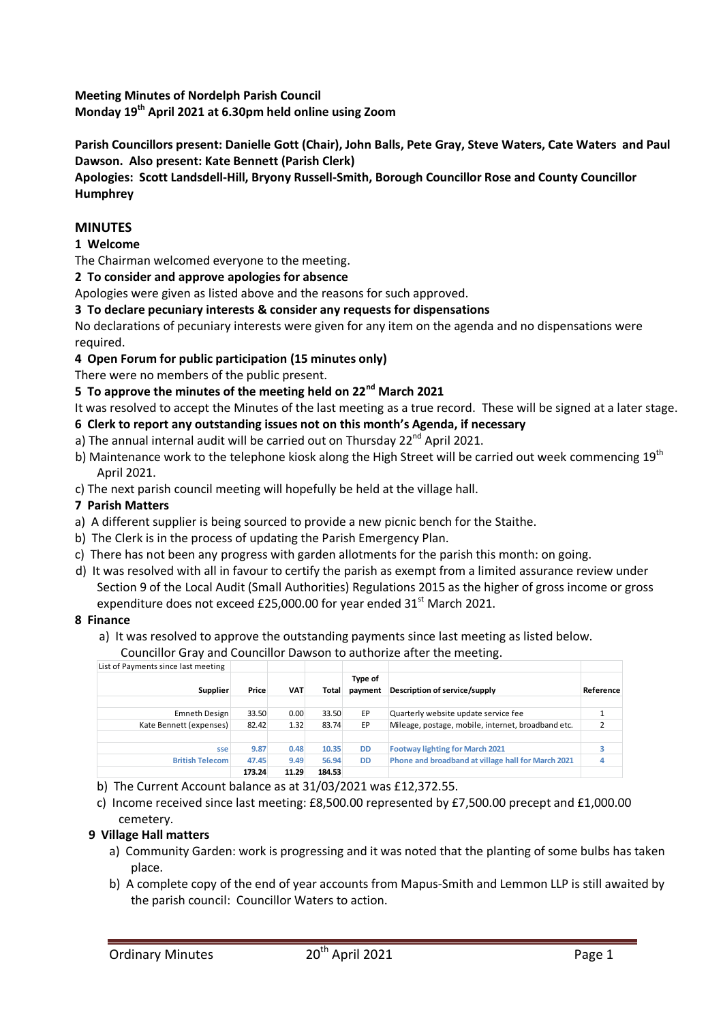**Meeting Minutes of Nordelph Parish Council Monday 19th April 2021 at 6.30pm held online using Zoom** 

**Parish Councillors present: Danielle Gott (Chair), John Balls, Pete Gray, Steve Waters, Cate Waters and Paul Dawson. Also present: Kate Bennett (Parish Clerk)** 

**Apologies: Scott Landsdell-Hill, Bryony Russell-Smith, Borough Councillor Rose and County Councillor Humphrey**

### **MINUTES**

### **1 Welcome**

The Chairman welcomed everyone to the meeting.

**2 To consider and approve apologies for absence**

Apologies were given as listed above and the reasons for such approved.

#### **3 To declare pecuniary interests & consider any requests for dispensations**

No declarations of pecuniary interests were given for any item on the agenda and no dispensations were required.

### **4 Open Forum for public participation (15 minutes only)**

There were no members of the public present.

# **5 To approve the minutes of the meeting held on 22nd March 2021**

It was resolved to accept the Minutes of the last meeting as a true record. These will be signed at a later stage.

- **6 Clerk to report any outstanding issues not on this month's Agenda, if necessary**
- a) The annual internal audit will be carried out on Thursday  $22^{nd}$  April 2021.
- b) Maintenance work to the telephone kiosk along the High Street will be carried out week commencing  $19<sup>th</sup>$ April 2021.
- c) The next parish council meeting will hopefully be held at the village hall.

#### **7 Parish Matters**

- a) A different supplier is being sourced to provide a new picnic bench for the Staithe.
- b) The Clerk is in the process of updating the Parish Emergency Plan.
- c) There has not been any progress with garden allotments for the parish this month: on going.
- d) It was resolved with all in favour to certify the parish as exempt from a limited assurance review under Section 9 of the Local Audit (Small Authorities) Regulations 2015 as the higher of gross income or gross expenditure does not exceed £25,000.00 for year ended  $31<sup>st</sup>$  March 2021.

#### **8 Finance**

a) It was resolved to approve the outstanding payments since last meeting as listed below.

Councillor Gray and Councillor Dawson to authorize after the meeting.

| List of Payments since last meeting |        |            |        |                    |                                                    |           |
|-------------------------------------|--------|------------|--------|--------------------|----------------------------------------------------|-----------|
| <b>Supplier</b>                     | Price  | <b>VAT</b> | Total  | Type of<br>payment | Description of service/supply                      | Reference |
|                                     |        |            |        |                    |                                                    |           |
| Emneth Design                       | 33.50  | 0.00       | 33.50  | EP                 | Quarterly website update service fee               |           |
| Kate Bennett (expenses)             | 82.42  | 1.32       | 83.74  | EP                 | Mileage, postage, mobile, internet, broadband etc. |           |
|                                     |        |            |        |                    |                                                    |           |
| sse                                 | 9.87   | 0.48       | 10.35  | <b>DD</b>          | <b>Footway lighting for March 2021</b>             | 3         |
| <b>British Telecom</b>              | 47.45  | 9.49       | 56.94  | <b>DD</b>          | Phone and broadband at village hall for March 2021 |           |
|                                     | 173.24 | 11.29      | 184.53 |                    |                                                    |           |

- b) The Current Account balance as at 31/03/2021 was £12,372.55.
- c) Income received since last meeting: £8,500.00 represented by £7,500.00 precept and £1,000.00 cemetery.

### **9 Village Hall matters**

- a) Community Garden: work is progressing and it was noted that the planting of some bulbs has taken place.
- b) A complete copy of the end of year accounts from Mapus-Smith and Lemmon LLP is still awaited by the parish council: Councillor Waters to action.